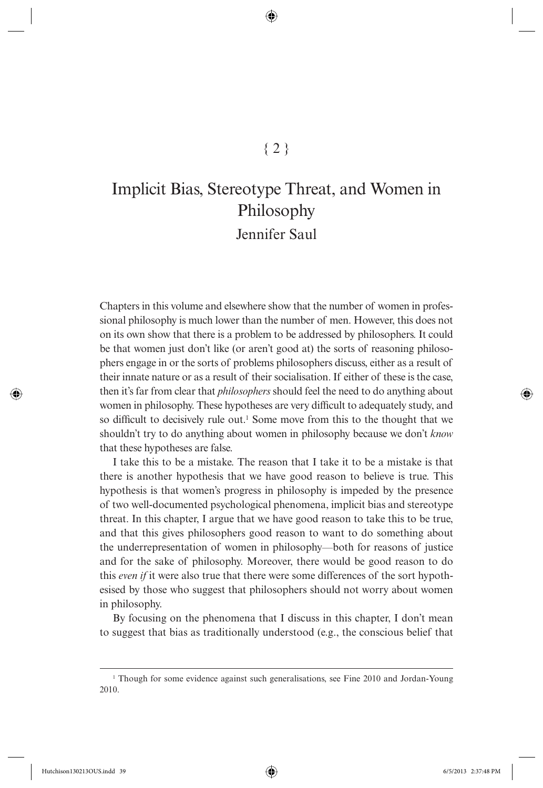## { 2 }

⊕

# Implicit Bias, Stereotype Threat, and Women in Philosophy Jennifer Saul

 Chapters in this volume and elsewhere show that the number of women in professional philosophy is much lower than the number of men. However, this does not on its own show that there is a problem to be addressed by philosophers. It could be that women just don't like (or aren't good at) the sorts of reasoning philosophers engage in or the sorts of problems philosophers discuss, either as a result of their innate nature or as a result of their socialisation. If either of these is the case, then it's far from clear that *philosophers* should feel the need to do anything about women in philosophy. These hypotheses are very difficult to adequately study, and so difficult to decisively rule out.<sup>1</sup> Some move from this to the thought that we shouldn't try to do anything about women in philosophy because we don't *know* that these hypotheses are false.

 I take this to be a mistake. The reason that I take it to be a mistake is that there is another hypothesis that we have good reason to believe is true. This hypothesis is that women's progress in philosophy is impeded by the presence of two well-documented psychological phenomena, implicit bias and stereotype threat. In this chapter, I argue that we have good reason to take this to be true, and that this gives philosophers good reason to want to do something about the underrepresentation of women in philosophy—both for reasons of justice and for the sake of philosophy. Moreover, there would be good reason to do this *even if* it were also true that there were some differences of the sort hypothesised by those who suggest that philosophers should not worry about women in philosophy.

 By focusing on the phenomena that I discuss in this chapter, I don't mean to suggest that bias as traditionally understood (e.g., the conscious belief that

 $\Leftrightarrow$ 

<sup>&</sup>lt;sup>1</sup> Though for some evidence against such generalisations, see Fine 2010 and Jordan-Young 2010.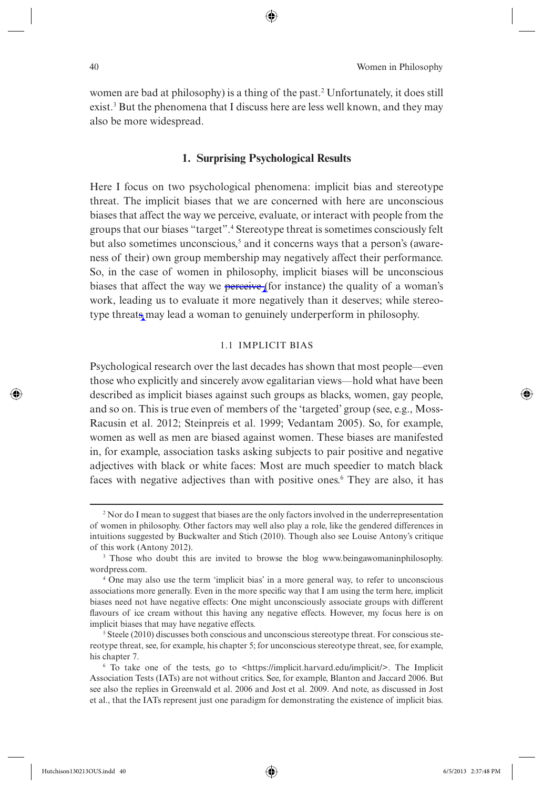women are bad at philosophy) is a thing of the past.<sup>2</sup> Unfortunately, it does still exist.<sup>3</sup> But the phenomena that I discuss here are less well known, and they may also be more widespread.

## **1. Surprising Psychological Results**

 Here I focus on two psychological phenomena: implicit bias and stereotype threat. The implicit biases that we are concerned with here are unconscious biases that affect the way we perceive, evaluate, or interact with people from the groups that our biases "target". 4 Stereotype threat is sometimes consciously felt but also sometimes unconscious,<sup>5</sup> and it concerns ways that a person's (awareness of their) own group membership may negatively affect their performance. So, in the case of women in philosophy, implicit biases will be unconscious biases that affect the way we **perceive** (for instance) the quality of a woman's work, leading us to evaluate it more negatively than it deserves; while stereotype threats may lead a woman to genuinely underperform in philosophy.

## 1.1 IMPLICIT BIAS

 Psychological research over the last decades has shown that most people—even those who explicitly and sincerely avow egalitarian views—hold what have been described as implicit biases against such groups as blacks, women, gay people, and so on. This is true even of members of the 'targeted' group (see, e.g., Moss-Racusin et al. 2012; Steinpreis et al. 1999; Vedantam 2005). So, for example, women as well as men are biased against women. These biases are manifested in, for example, association tasks asking subjects to pair positive and negative adjectives with black or white faces: Most are much speedier to match black faces with negative adjectives than with positive ones.<sup>6</sup> They are also, it has

<sup>&</sup>lt;sup>2</sup> Nor do I mean to suggest that biases are the only factors involved in the underrepresentation of women in philosophy. Other factors may well also play a role, like the gendered differences in intuitions suggested by Buckwalter and Stich (2010) . Though also see Louise Antony's critique of this work (Antony 2012).

<sup>&</sup>lt;sup>3</sup> Those who doubt this are invited to browse the blog www.beingawomaninphilosophy. wordpress.com.

One may also use the term 'implicit bias' in a more general way, to refer to unconscious associations more generally. Even in the more specific way that I am using the term here, implicit biases need not have negative effects: One might unconsciously associate groups with different flavours of ice cream without this having any negative effects. However, my focus here is on implicit biases that may have negative effects.

 $5$  Steele (2010) discusses both conscious and unconscious stereotype threat. For conscious stereotype threat, see, for example, his chapter 5; for unconscious stereotype threat, see, for example, his chapter 7.

 $6$  To take one of the tests, go to  $\langle \text{https://implicit.harvard.edu/implicit/>}.$  The Implicit Association Tests (IATs) are not without critics. See, for example, Blanton and Jaccard 2006 . But see also the replies in Greenwald et al. 2006 and Jost et al. 2009 . And note, as discussed in Jost et al., that the IATs represent just one paradigm for demonstrating the existence of implicit bias.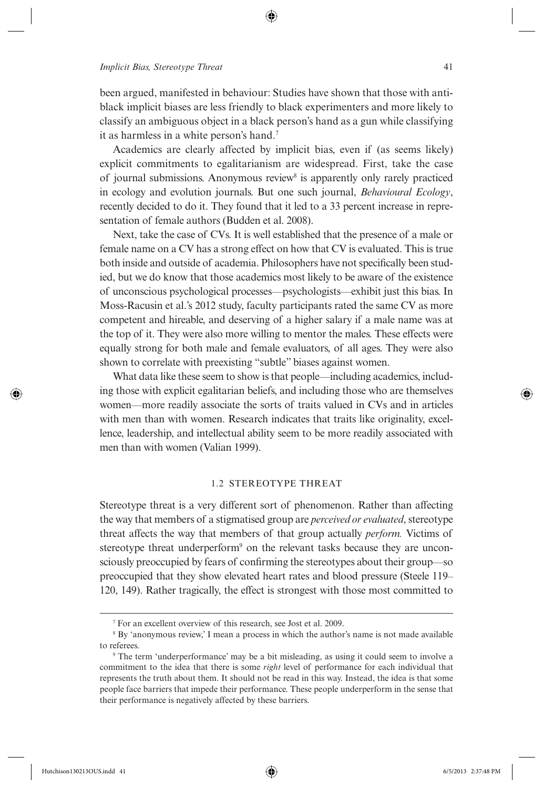been argued, manifested in behaviour: Studies have shown that those with antiblack implicit biases are less friendly to black experimenters and more likely to classify an ambiguous object in a black person's hand as a gun while classifying it as harmless in a white person's hand.<sup>7</sup>

⊕

 Academics are clearly affected by implicit bias, even if (as seems likely) explicit commitments to egalitarianism are widespread. First, take the case of journal submissions. Anonymous review<sup>8</sup> is apparently only rarely practiced in ecology and evolution journals. But one such journal, *Behavioural Ecology* , recently decided to do it. They found that it led to a 33 percent increase in representation of female authors (Budden et al. 2008).

 Next, take the case of CVs. It is well established that the presence of a male or female name on a CV has a strong effect on how that CV is evaluated. This is true both inside and outside of academia. Philosophers have not specifically been studied, but we do know that those academics most likely to be aware of the existence of unconscious psychological processes—psychologists—exhibit just this bias. In Moss-Racusin et al.'s 2012 study, faculty participants rated the same CV as more competent and hireable, and deserving of a higher salary if a male name was at the top of it. They were also more willing to mentor the males. These effects were equally strong for both male and female evaluators, of all ages. They were also shown to correlate with preexisting "subtle" biases against women.

What data like these seem to show is that people—including academics, including those with explicit egalitarian beliefs, and including those who are themselves women—more readily associate the sorts of traits valued in CVs and in articles with men than with women. Research indicates that traits like originality, excellence, leadership, and intellectual ability seem to be more readily associated with men than with women (Valian 1999).

## 1.2 STEREOTYPE THREAT

 Stereotype threat is a very different sort of phenomenon. Rather than affecting the way that members of a stigmatised group are *perceived or evaluated* , stereotype threat affects the way that members of that group actually *perform.* Victims of stereotype threat underperform<sup>9</sup> on the relevant tasks because they are unconsciously preoccupied by fears of confirming the stereotypes about their group—so preoccupied that they show elevated heart rates and blood pressure (Steele 119– 120, 149). Rather tragically, the effect is strongest with those most committed to

<sup>7</sup> For an excellent overview of this research, see Jost et al. 2009 .

<sup>8</sup> By 'anonymous review,' I mean a process in which the author's name is not made available to referees.

The term 'underperformance' may be a bit misleading, as using it could seem to involve a commitment to the idea that there is some *right* level of performance for each individual that represents the truth about them. It should not be read in this way. Instead, the idea is that some people face barriers that impede their performance. These people underperform in the sense that their performance is negatively affected by these barriers.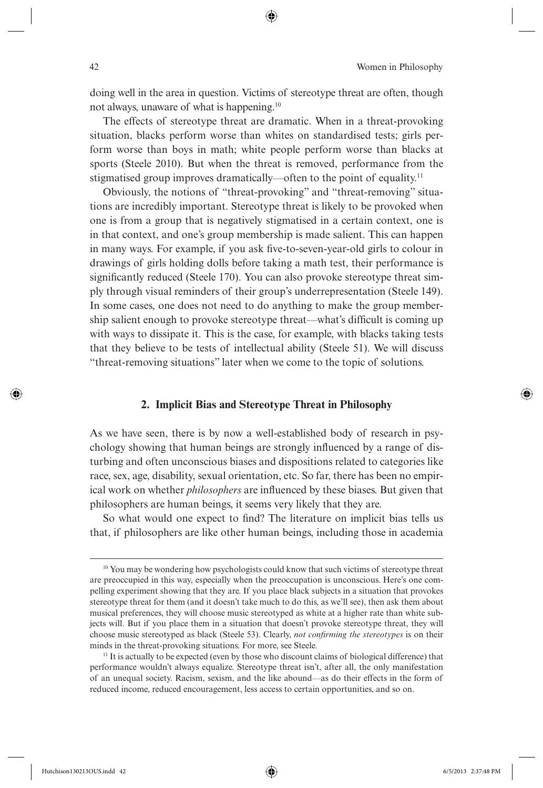doing well in the area in question. Victims of stereotype threat are often, though not always, unaware of what is happening. 10

⊕

 The effects of stereotype threat are dramatic. When in a threat-provoking situation, blacks perform worse than whites on standardised tests; girls perform worse than boys in math; white people perform worse than blacks at sports (Steele 2010). But when the threat is removed, performance from the stigmatised group improves dramatically—often to the point of equality.<sup>11</sup>

 Obviously, the notions of "threat-provoking" and "threat-removing" situations are incredibly important. Stereotype threat is likely to be provoked when one is from a group that is negatively stigmatised in a certain context, one is in that context, and one's group membership is made salient. This can happen in many ways. For example, if you ask five-to-seven-year-old girls to colour in drawings of girls holding dolls before taking a math test, their performance is significantly reduced (Steele 170). You can also provoke stereotype threat simply through visual reminders of their group's underrepresentation (Steele 149). In some cases, one does not need to do anything to make the group membership salient enough to provoke stereotype threat—what's difficult is coming up with ways to dissipate it. This is the case, for example, with blacks taking tests that they believe to be tests of intellectual ability (Steele 51). We will discuss "threat-removing situations" later when we come to the topic of solutions.

## **2. Implicit Bias and Stereotype Threat in Philosophy**

 As we have seen, there is by now a well-established body of research in psychology showing that human beings are strongly influenced by a range of disturbing and often unconscious biases and dispositions related to categories like race, sex, age, disability, sexual orientation, etc. So far, there has been no empirical work on whether *philosophers* are influenced by these biases. But given that philosophers are human beings, it seems very likely that they are.

So what would one expect to find? The literature on implicit bias tells us that, if philosophers are like other human beings, including those in academia

<sup>&</sup>lt;sup>10</sup> You may be wondering how psychologists could know that such victims of stereotype threat are preoccupied in this way, especially when the preoccupation is unconscious. Here's one compelling experiment showing that they are. If you place black subjects in a situation that provokes stereotype threat for them (and it doesn't take much to do this, as we'll see), then ask them about musical preferences, they will choose music stereotyped as white at a higher rate than white subjects will. But if you place them in a situation that doesn't provoke stereotype threat, they will choose music stereotyped as black (Steele 53). Clearly, *not confirming the stereotypes* is on their minds in the threat-provoking situations. For more, see Steele.<br><sup>11</sup> It is actually to be expected (even by those who discount claims of biological difference) that

performance wouldn't always equalize. Stereotype threat isn't, after all, the only manifestation of an unequal society. Racism, sexism, and the like abound—as do their effects in the form of reduced income, reduced encouragement, less access to certain opportunities, and so on.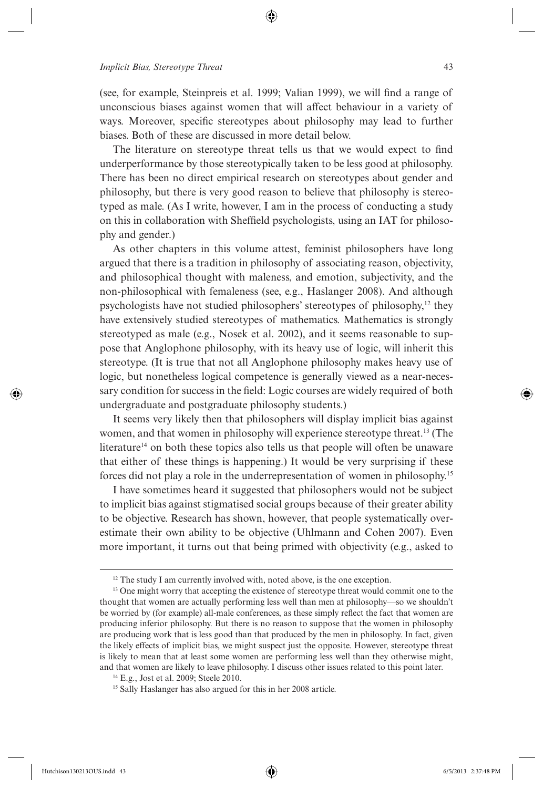(see, for example, Steinpreis et al. 1999; Valian 1999), we will find a range of unconscious biases against women that will affect behaviour in a variety of ways. Moreover, specific stereotypes about philosophy may lead to further biases. Both of these are discussed in more detail below.

⊕

The literature on stereotype threat tells us that we would expect to find underperformance by those stereotypically taken to be less good at philosophy. There has been no direct empirical research on stereotypes about gender and philosophy, but there is very good reason to believe that philosophy is stereotyped as male. (As I write, however, I am in the process of conducting a study on this in collaboration with Sheffield psychologists, using an IAT for philosophy and gender.)

 As other chapters in this volume attest, feminist philosophers have long argued that there is a tradition in philosophy of associating reason, objectivity, and philosophical thought with maleness, and emotion, subjectivity, and the non-philosophical with femaleness (see, e.g., Haslanger 2008). And although psychologists have not studied philosophers' stereotypes of philosophy, 12 they have extensively studied stereotypes of mathematics. Mathematics is strongly stereotyped as male (e.g., Nosek et al. 2002), and it seems reasonable to suppose that Anglophone philosophy, with its heavy use of logic, will inherit this stereotype. (It is true that not all Anglophone philosophy makes heavy use of logic, but nonetheless logical competence is generally viewed as a near-necessary condition for success in the field: Logic courses are widely required of both undergraduate and postgraduate philosophy students.)

 It seems very likely then that philosophers will display implicit bias against women, and that women in philosophy will experience stereotype threat. 13 (The literature<sup>14</sup> on both these topics also tells us that people will often be unaware that either of these things is happening.) It would be very surprising if these forces did not play a role in the underrepresentation of women in philosophy. 15

 I have sometimes heard it suggested that philosophers would not be subject to implicit bias against stigmatised social groups because of their greater ability to be objective. Research has shown, however, that people systematically overestimate their own ability to be objective (Uhlmann and Cohen 2007). Even more important, it turns out that being primed with objectivity (e.g., asked to

 $12$  The study I am currently involved with, noted above, is the one exception.

<sup>&</sup>lt;sup>13</sup> One might worry that accepting the existence of stereotype threat would commit one to the thought that women are actually performing less well than men at philosophy—so we shouldn't be worried by (for example) all-male conferences, as these simply reflect the fact that women are producing inferior philosophy. But there is no reason to suppose that the women in philosophy are producing work that is less good than that produced by the men in philosophy. In fact, given the likely effects of implicit bias, we might suspect just the opposite. However, stereotype threat is likely to mean that at least some women are performing less well than they otherwise might, and that women are likely to leave philosophy. I discuss other issues related to this point later. <sup>14</sup> E.g., Jost et al. 2009; Steele 2010.

<sup>&</sup>lt;sup>15</sup> Sally Haslanger has also argued for this in her 2008 article.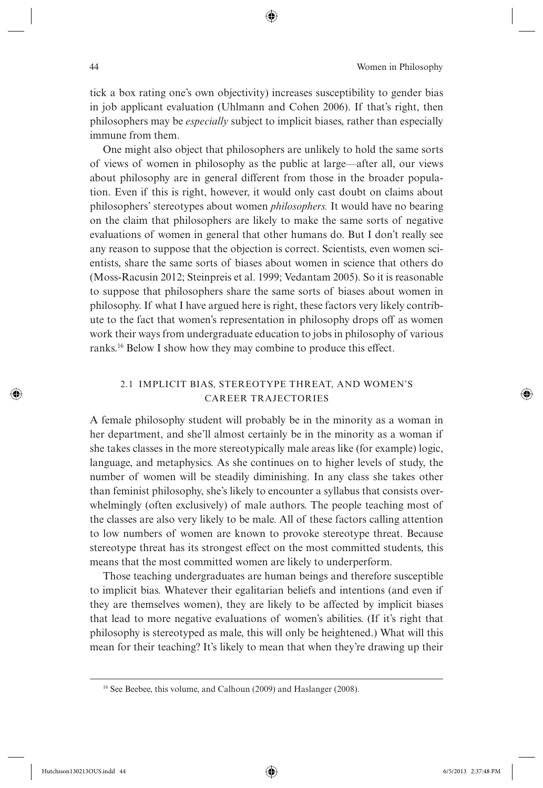tick a box rating one's own objectivity) increases susceptibility to gender bias in job applicant evaluation (Uhlmann and Cohen 2006). If that's right, then philosophers may be *especially* subject to implicit biases, rather than especially immune from them.

⊕

 One might also object that philosophers are unlikely to hold the same sorts of views of women in philosophy as the public at large—after all, our views about philosophy are in general different from those in the broader population. Even if this is right, however, it would only cast doubt on claims about philosophers' stereotypes about women *philosophers.* It would have no bearing on the claim that philosophers are likely to make the same sorts of negative evaluations of women in general that other humans do. But I don't really see any reason to suppose that the objection is correct. Scientists, even women scientists, share the same sorts of biases about women in science that others do (Moss-Racusin 2012; Steinpreis et al. 1999 ; Vedantam 2005 ). So it is reasonable to suppose that philosophers share the same sorts of biases about women in philosophy. If what I have argued here is right, these factors very likely contribute to the fact that women's representation in philosophy drops off as women work their ways from undergraduate education to jobs in philosophy of various ranks. 16 Below I show how they may combine to produce this effect.

## 2.1 IMPLICIT BIAS, STEREOTYPE THREAT, AND WOMEN'S CAREER TRAJECTORIES

 A female philosophy student will probably be in the minority as a woman in her department, and she'll almost certainly be in the minority as a woman if she takes classes in the more stereotypically male areas like (for example) logic, language, and metaphysics. As she continues on to higher levels of study, the number of women will be steadily diminishing. In any class she takes other than feminist philosophy, she's likely to encounter a syllabus that consists overwhelmingly (often exclusively) of male authors. The people teaching most of the classes are also very likely to be male. All of these factors calling attention to low numbers of women are known to provoke stereotype threat. Because stereotype threat has its strongest effect on the most committed students, this means that the most committed women are likely to underperform.

 Those teaching undergraduates are human beings and therefore susceptible to implicit bias. Whatever their egalitarian beliefs and intentions (and even if they are themselves women), they are likely to be affected by implicit biases that lead to more negative evaluations of women's abilities. (If it's right that philosophy is stereotyped as male, this will only be heightened.) What will this mean for their teaching? It's likely to mean that when they're drawing up their

⊕

<sup>&</sup>lt;sup>16</sup> See Beebee, this volume, and Calhoun (2009) and Haslanger (2008).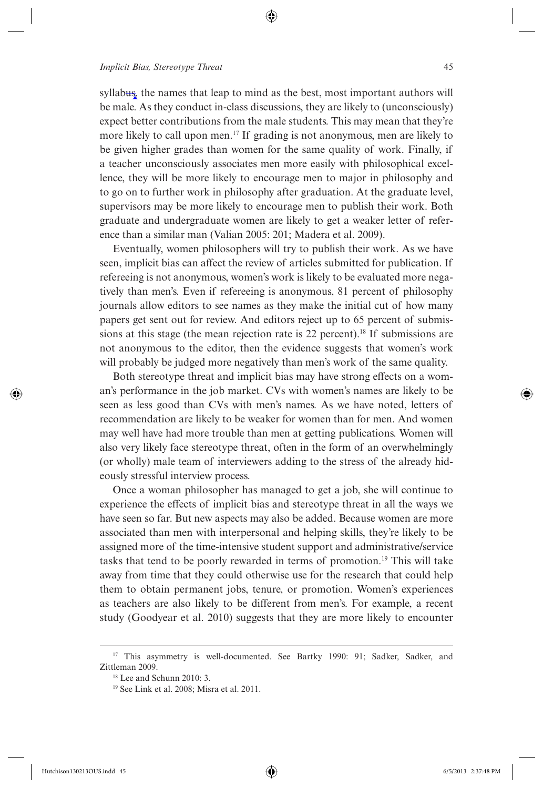syllabus, the names that leap to mind as the best, most important authors will be male. As they conduct in-class discussions, they are likely to (unconsciously) expect better contributions from the male students. This may mean that they're more likely to call upon men.<sup>17</sup> If grading is not anonymous, men are likely to be given higher grades than women for the same quality of work. Finally, if a teacher unconsciously associates men more easily with philosophical excellence, they will be more likely to encourage men to major in philosophy and to go on to further work in philosophy after graduation. At the graduate level, supervisors may be more likely to encourage men to publish their work. Both graduate and undergraduate women are likely to get a weaker letter of reference than a similar man (Valian 2005: 201; Madera et al. 2009).

⊕

 Eventually, women philosophers will try to publish their work. As we have seen, implicit bias can affect the review of articles submitted for publication. If refereeing is not anonymous, women's work is likely to be evaluated more negatively than men's. Even if refereeing is anonymous, 81 percent of philosophy journals allow editors to see names as they make the initial cut of how many papers get sent out for review. And editors reject up to 65 percent of submissions at this stage (the mean rejection rate is 22 percent).<sup>18</sup> If submissions are not anonymous to the editor, then the evidence suggests that women's work will probably be judged more negatively than men's work of the same quality.

 Both stereotype threat and implicit bias may have strong effects on a woman's performance in the job market. CVs with women's names are likely to be seen as less good than CVs with men's names. As we have noted, letters of recommendation are likely to be weaker for women than for men. And women may well have had more trouble than men at getting publications. Women will also very likely face stereotype threat, often in the form of an overwhelmingly (or wholly) male team of interviewers adding to the stress of the already hideously stressful interview process.

 Once a woman philosopher has managed to get a job, she will continue to experience the effects of implicit bias and stereotype threat in all the ways we have seen so far. But new aspects may also be added. Because women are more associated than men with interpersonal and helping skills, they're likely to be assigned more of the time-intensive student support and administrative/service tasks that tend to be poorly rewarded in terms of promotion. 19 This will take away from time that they could otherwise use for the research that could help them to obtain permanent jobs, tenure, or promotion. Women's experiences as teachers are also likely to be different from men's. For example, a recent study (Goodyear et al. 2010) suggests that they are more likely to encounter

<sup>&</sup>lt;sup>17</sup> This asymmetry is well-documented. See Bartky 1990: 91; Sadker, Sadker, and Zittleman 2009.

 $18$  Lee and Schunn 2010: 3.

<sup>19</sup> See Link et al. 2008; Misra et al. 2011 .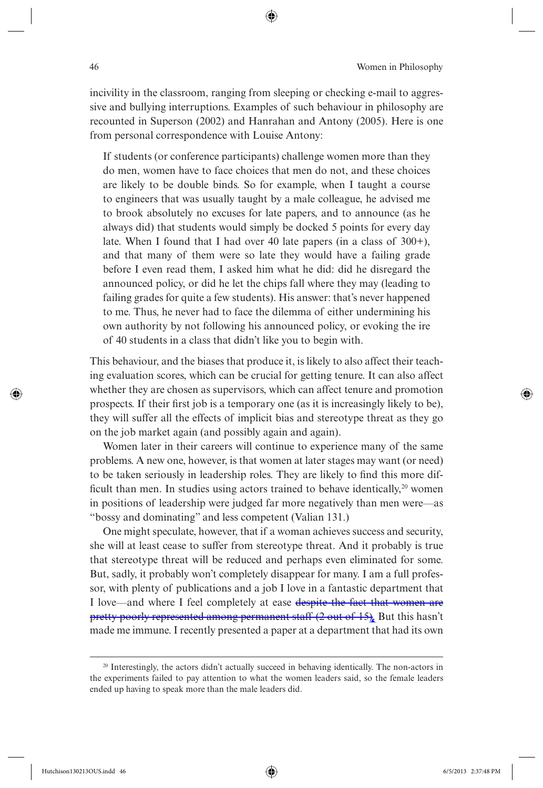incivility in the classroom, ranging from sleeping or checking e-mail to aggressive and bullying interruptions. Examples of such behaviour in philosophy are recounted in Superson (2002) and Hanrahan and Antony (2005). Here is one from personal correspondence with Louise Antony:

⊕

 If students (or conference participants) challenge women more than they do men, women have to face choices that men do not, and these choices are likely to be double binds. So for example, when I taught a course to engineers that was usually taught by a male colleague, he advised me to brook absolutely no excuses for late papers, and to announce (as he always did) that students would simply be docked 5 points for every day late. When I found that I had over 40 late papers (in a class of 300+), and that many of them were so late they would have a failing grade before I even read them, I asked him what he did: did he disregard the announced policy, or did he let the chips fall where they may (leading to failing grades for quite a few students). His answer: that's never happened to me. Thus, he never had to face the dilemma of either undermining his own authority by not following his announced policy, or evoking the ire of 40 students in a class that didn't like you to begin with.

 This behaviour, and the biases that produce it, is likely to also affect their teaching evaluation scores, which can be crucial for getting tenure. It can also affect whether they are chosen as supervisors, which can affect tenure and promotion prospects. If their first job is a temporary one (as it is increasingly likely to be), they will suffer all the effects of implicit bias and stereotype threat as they go on the job market again (and possibly again and again).

 Women later in their careers will continue to experience many of the same problems. A new one, however, is that women at later stages may want (or need) to be taken seriously in leadership roles. They are likely to find this more difficult than men. In studies using actors trained to behave identically,<sup>20</sup> women in positions of leadership were judged far more negatively than men were—as "bossy and dominating" and less competent (Valian 131.)

 One might speculate, however, that if a woman achieves success and security, she will at least cease to suffer from stereotype threat. And it probably is true that stereotype threat will be reduced and perhaps even eliminated for some. But, sadly, it probably won't completely disappear for many. I am a full professor, with plenty of publications and a job I love in a fantastic department that I love—and where I feel completely at ease despite the fact that women are pretty poorly represented among permanent staff (2 out of 15). But this hasn't made me immune. I recently presented a paper at a department that had its own

<sup>&</sup>lt;sup>20</sup> Interestingly, the actors didn't actually succeed in behaving identically. The non-actors in the experiments failed to pay attention to what the women leaders said, so the female leaders ended up having to speak more than the male leaders did.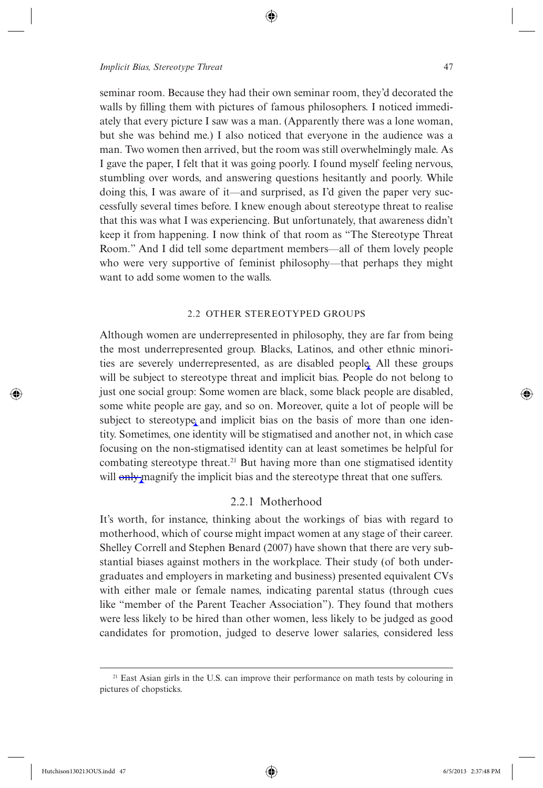seminar room. Because they had their own seminar room, they'd decorated the walls by filling them with pictures of famous philosophers. I noticed immediately that every picture I saw was a man. (Apparently there was a lone woman, but she was behind me.) I also noticed that everyone in the audience was a man. Two women then arrived, but the room was still overwhelmingly male. As I gave the paper, I felt that it was going poorly. I found myself feeling nervous, stumbling over words, and answering questions hesitantly and poorly. While doing this, I was aware of it—and surprised, as I'd given the paper very successfully several times before. I knew enough about stereotype threat to realise that this was what I was experiencing. But unfortunately, that awareness didn't keep it from happening. I now think of that room as "The Stereotype Threat Room." And I did tell some department members—all of them lovely people who were very supportive of feminist philosophy—that perhaps they might want to add some women to the walls.

⊕

## 2.2 OTHER STEREOTYPED GROUPS

 Although women are underrepresented in philosophy, they are far from being the most underrepresented group. Blacks, Latinos, and other ethnic minorities are severely underrepresented, as are disabled people. All these groups will be subject to stereotype threat and implicit bias. People do not belong to just one social group: Some women are black, some black people are disabled, some white people are gay, and so on. Moreover, quite a lot of people will be subject to stereotype and implicit bias on the basis of more than one identity. Sometimes, one identity will be stigmatised and another not, in which case focusing on the non-stigmatised identity can at least sometimes be helpful for combating stereotype threat.<sup>21</sup> But having more than one stigmatised identity will only magnify the implicit bias and the stereotype threat that one suffers.

## 2.2.1 Motherhood

 It's worth, for instance, thinking about the workings of bias with regard to motherhood, which of course might impact women at any stage of their career. Shelley Correll and Stephen Benard (2007) have shown that there are very substantial biases against mothers in the workplace. Their study (of both undergraduates and employers in marketing and business) presented equivalent CVs with either male or female names, indicating parental status (through cues like "member of the Parent Teacher Association"). They found that mothers were less likely to be hired than other women, less likely to be judged as good candidates for promotion, judged to deserve lower salaries, considered less

<sup>&</sup>lt;sup>21</sup> East Asian girls in the U.S. can improve their performance on math tests by colouring in pictures of chopsticks.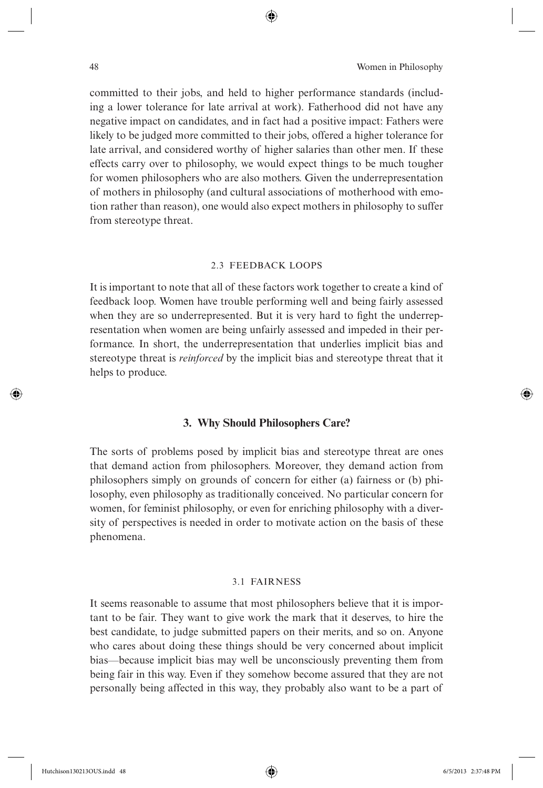committed to their jobs, and held to higher performance standards (including a lower tolerance for late arrival at work). Fatherhood did not have any negative impact on candidates, and in fact had a positive impact: Fathers were likely to be judged more committed to their jobs, offered a higher tolerance for late arrival, and considered worthy of higher salaries than other men. If these effects carry over to philosophy, we would expect things to be much tougher for women philosophers who are also mothers. Given the underrepresentation of mothers in philosophy (and cultural associations of motherhood with emotion rather than reason), one would also expect mothers in philosophy to suffer from stereotype threat.

⊕

## 2.3 FEEDBACK LOOPS

 It is important to note that all of these factors work together to create a kind of feedback loop. Women have trouble performing well and being fairly assessed when they are so underrepresented. But it is very hard to fight the underrepresentation when women are being unfairly assessed and impeded in their performance. In short, the underrepresentation that underlies implicit bias and stereotype threat is *reinforced* by the implicit bias and stereotype threat that it helps to produce.

## **3. Why Should Philosophers Care?**

 The sorts of problems posed by implicit bias and stereotype threat are ones that demand action from philosophers. Moreover, they demand action from philosophers simply on grounds of concern for either (a) fairness or (b) philosophy, even philosophy as traditionally conceived. No particular concern for women, for feminist philosophy, or even for enriching philosophy with a diversity of perspectives is needed in order to motivate action on the basis of these phenomena.

#### 3.1 FAIRNESS

 It seems reasonable to assume that most philosophers believe that it is important to be fair. They want to give work the mark that it deserves, to hire the best candidate, to judge submitted papers on their merits, and so on. Anyone who cares about doing these things should be very concerned about implicit bias—because implicit bias may well be unconsciously preventing them from being fair in this way. Even if they somehow become assured that they are not personally being affected in this way, they probably also want to be a part of

⊕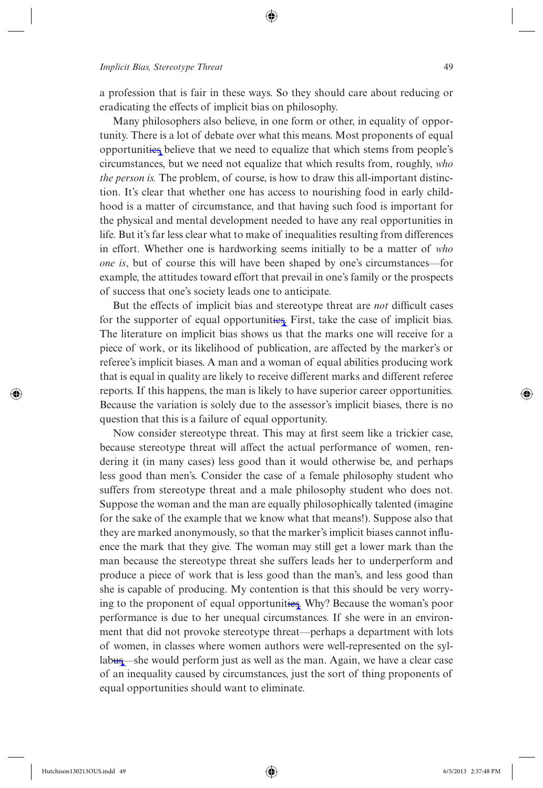a profession that is fair in these ways. So they should care about reducing or eradicating the effects of implicit bias on philosophy.

⊕

 Many philosophers also believe, in one form or other, in equality of opportunity. There is a lot of debate over what this means. Most proponents of equal opportunities believe that we need to equalize that which stems from people's circumstances, but we need not equalize that which results from, roughly, *who the person is.* The problem, of course, is how to draw this all-important distinction. It's clear that whether one has access to nourishing food in early childhood is a matter of circumstance, and that having such food is important for the physical and mental development needed to have any real opportunities in life. But it's far less clear what to make of inequalities resulting from differences in effort. Whether one is hardworking seems initially to be a matter of *who one is* , but of course this will have been shaped by one's circumstances—for example, the attitudes toward effort that prevail in one's family or the prospects of success that one's society leads one to anticipate.

But the effects of implicit bias and stereotype threat are *not* difficult cases for the supporter of equal opportunities. First, take the case of implicit bias. The literature on implicit bias shows us that the marks one will receive for a piece of work, or its likelihood of publication, are affected by the marker's or referee's implicit biases. A man and a woman of equal abilities producing work that is equal in quality are likely to receive different marks and different referee reports. If this happens, the man is likely to have superior career opportunities. Because the variation is solely due to the assessor's implicit biases, there is no question that this is a failure of equal opportunity.

Now consider stereotype threat. This may at first seem like a trickier case, because stereotype threat will affect the actual performance of women, rendering it (in many cases) less good than it would otherwise be, and perhaps less good than men's. Consider the case of a female philosophy student who suffers from stereotype threat and a male philosophy student who does not. Suppose the woman and the man are equally philosophically talented (imagine for the sake of the example that we know what that means!). Suppose also that they are marked anonymously, so that the marker's implicit biases cannot influence the mark that they give. The woman may still get a lower mark than the man because the stereotype threat she suffers leads her to underperform and produce a piece of work that is less good than the man's, and less good than she is capable of producing. My contention is that this should be very worrying to the proponent of equal opportunities. Why? Because the woman's poor performance is due to her unequal circumstances. If she were in an environment that did not provoke stereotype threat—perhaps a department with lots of women, in classes where women authors were well-represented on the syllabus—she would perform just as well as the man. Again, we have a clear case of an inequality caused by circumstances, just the sort of thing proponents of equal opportunities should want to eliminate.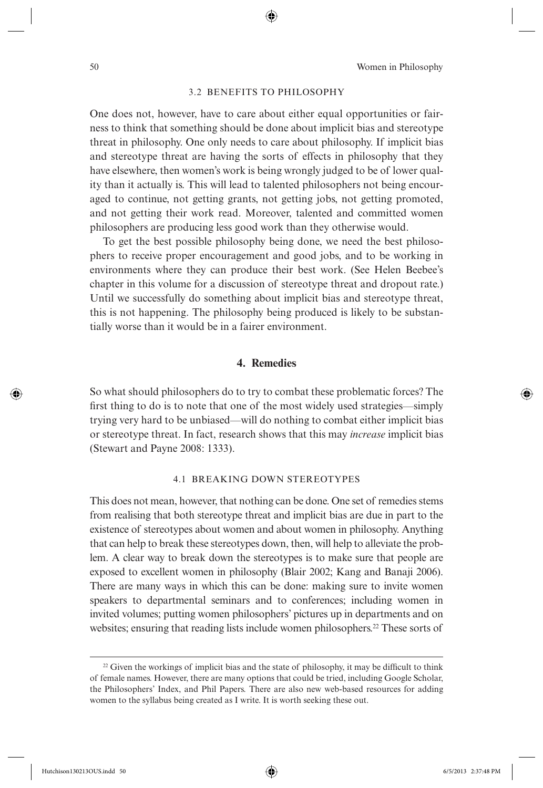## 3.2 BENEFITS TO PHILOSOPHY

⊕

 One does not, however, have to care about either equal opportunities or fairness to think that something should be done about implicit bias and stereotype threat in philosophy. One only needs to care about philosophy. If implicit bias and stereotype threat are having the sorts of effects in philosophy that they have elsewhere, then women's work is being wrongly judged to be of lower quality than it actually is. This will lead to talented philosophers not being encouraged to continue, not getting grants, not getting jobs, not getting promoted, and not getting their work read. Moreover, talented and committed women philosophers are producing less good work than they otherwise would.

 To get the best possible philosophy being done, we need the best philosophers to receive proper encouragement and good jobs, and to be working in environments where they can produce their best work. (See Helen Beebee's chapter in this volume for a discussion of stereotype threat and dropout rate.) Until we successfully do something about implicit bias and stereotype threat, this is not happening. The philosophy being produced is likely to be substantially worse than it would be in a fairer environment.

## **4. Remedies**

 So what should philosophers do to try to combat these problematic forces? The first thing to do is to note that one of the most widely used strategies—simply trying very hard to be unbiased—will do nothing to combat either implicit bias or stereotype threat. In fact, research shows that this may *increase* implicit bias (Stewart and Payne 2008: 1333).

## 4.1 BREAKING DOWN STEREOTYPES

 This does not mean, however, that nothing can be done. One set of remedies stems from realising that both stereotype threat and implicit bias are due in part to the existence of stereotypes about women and about women in philosophy. Anything that can help to break these stereotypes down, then, will help to alleviate the problem. A clear way to break down the stereotypes is to make sure that people are exposed to excellent women in philosophy (Blair 2002; Kang and Banaji 2006). There are many ways in which this can be done: making sure to invite women speakers to departmental seminars and to conferences; including women in invited volumes; putting women philosophers' pictures up in departments and on websites; ensuring that reading lists include women philosophers.<sup>22</sup> These sorts of

 $22$  Given the workings of implicit bias and the state of philosophy, it may be difficult to think of female names. However, there are many options that could be tried, including Google Scholar, the Philosophers' Index, and Phil Papers. There are also new web-based resources for adding women to the syllabus being created as I write. It is worth seeking these out.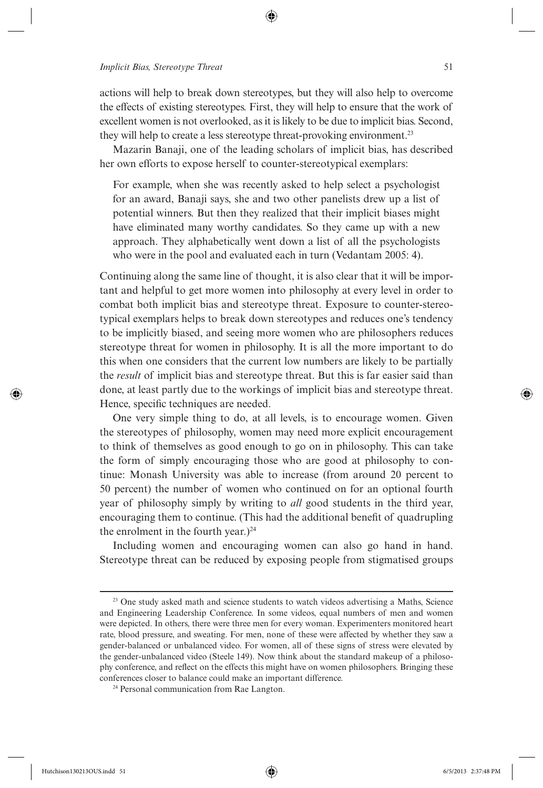actions will help to break down stereotypes, but they will also help to overcome the effects of existing stereotypes. First, they will help to ensure that the work of excellent women is not overlooked, as it is likely to be due to implicit bias. Second, they will help to create a less stereotype threat-provoking environment. 23

 Mazarin Banaji, one of the leading scholars of implicit bias, has described her own efforts to expose herself to counter-stereotypical exemplars:

 For example, when she was recently asked to help select a psychologist for an award, Banaji says, she and two other panelists drew up a list of potential winners. But then they realized that their implicit biases might have eliminated many worthy candidates. So they came up with a new approach. They alphabetically went down a list of all the psychologists who were in the pool and evaluated each in turn (Vedantam 2005: 4).

 Continuing along the same line of thought, it is also clear that it will be important and helpful to get more women into philosophy at every level in order to combat both implicit bias and stereotype threat. Exposure to counter-stereotypical exemplars helps to break down stereotypes and reduces one's tendency to be implicitly biased, and seeing more women who are philosophers reduces stereotype threat for women in philosophy. It is all the more important to do this when one considers that the current low numbers are likely to be partially the *result* of implicit bias and stereotype threat. But this is far easier said than done, at least partly due to the workings of implicit bias and stereotype threat. Hence, specific techniques are needed.

 One very simple thing to do, at all levels, is to encourage women. Given the stereotypes of philosophy, women may need more explicit encouragement to think of themselves as good enough to go on in philosophy. This can take the form of simply encouraging those who are good at philosophy to continue: Monash University was able to increase (from around 20 percent to 50 percent) the number of women who continued on for an optional fourth year of philosophy simply by writing to *all* good students in the third year, encouraging them to continue. (This had the additional benefit of quadrupling the enrolment in the fourth year.) $24$ 

 Including women and encouraging women can also go hand in hand. Stereotype threat can be reduced by exposing people from stigmatised groups

<sup>&</sup>lt;sup>23</sup> One study asked math and science students to watch videos advertising a Maths, Science and Engineering Leadership Conference. In some videos, equal numbers of men and women were depicted. In others, there were three men for every woman. Experimenters monitored heart rate, blood pressure, and sweating. For men, none of these were affected by whether they saw a gender-balanced or unbalanced video. For women, all of these signs of stress were elevated by the gender-unbalanced video (Steele 149). Now think about the standard makeup of a philosophy conference, and reflect on the effects this might have on women philosophers. Bringing these conferences closer to balance could make an important difference. 24 Personal communication from Rae Langton.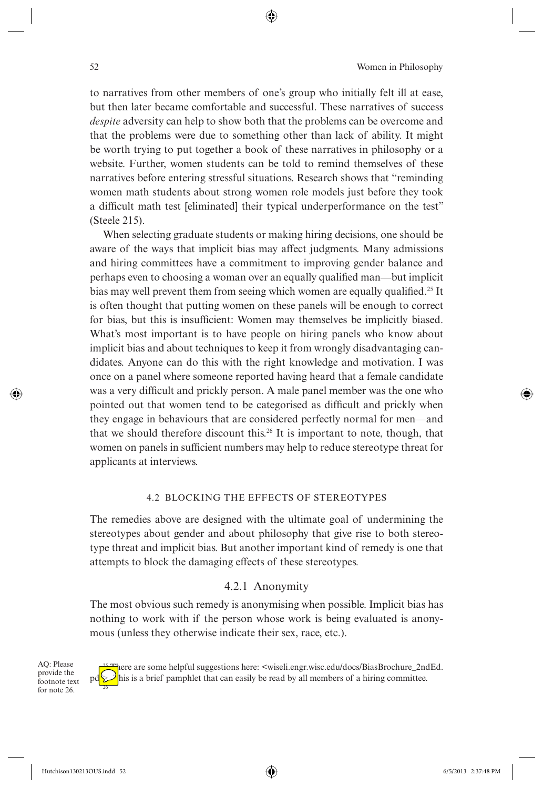to narratives from other members of one's group who initially felt ill at ease, but then later became comfortable and successful. These narratives of success *despite* adversity can help to show both that the problems can be overcome and that the problems were due to something other than lack of ability. It might be worth trying to put together a book of these narratives in philosophy or a website. Further, women students can be told to remind themselves of these narratives before entering stressful situations. Research shows that "reminding women math students about strong women role models just before they took a difficult math test [eliminated] their typical underperformance on the test" (Steele 215).

⊕

 When selecting graduate students or making hiring decisions, one should be aware of the ways that implicit bias may affect judgments. Many admissions and hiring committees have a commitment to improving gender balance and perhaps even to choosing a woman over an equally qualified man—but implicit bias may well prevent them from seeing which women are equally qualified.<sup>25</sup> It is often thought that putting women on these panels will be enough to correct for bias, but this is insufficient: Women may themselves be implicitly biased. What's most important is to have people on hiring panels who know about implicit bias and about techniques to keep it from wrongly disadvantaging candidates. Anyone can do this with the right knowledge and motivation. I was once on a panel where someone reported having heard that a female candidate was a very difficult and prickly person. A male panel member was the one who pointed out that women tend to be categorised as difficult and prickly when they engage in behaviours that are considered perfectly normal for men—and that we should therefore discount this. 26 It is important to note, though, that women on panels in sufficient numbers may help to reduce stereotype threat for applicants at interviews.

## 4.2 BLOCKING THE EFFECTS OF STEREOTYPES

 The remedies above are designed with the ultimate goal of undermining the stereotypes about gender and about philosophy that give rise to both stereotype threat and implicit bias. But another important kind of remedy is one that attempts to block the damaging effects of these stereotypes.

## 4.2.1 Anonymity

 The most obvious such remedy is anonymising when possible. Implicit bias has nothing to work with if the person whose work is being evaluated is anonymous (unless they otherwise indicate their sex, race, etc.).

AQ: Please provide the footnote text for note 26.

25 There are some helpful suggestions here: <wiseli.engr.wisc.edu/docs/BiasBrochure\_2ndEd. his is a brief pamphlet that can easily be read by all members of a hiring committee.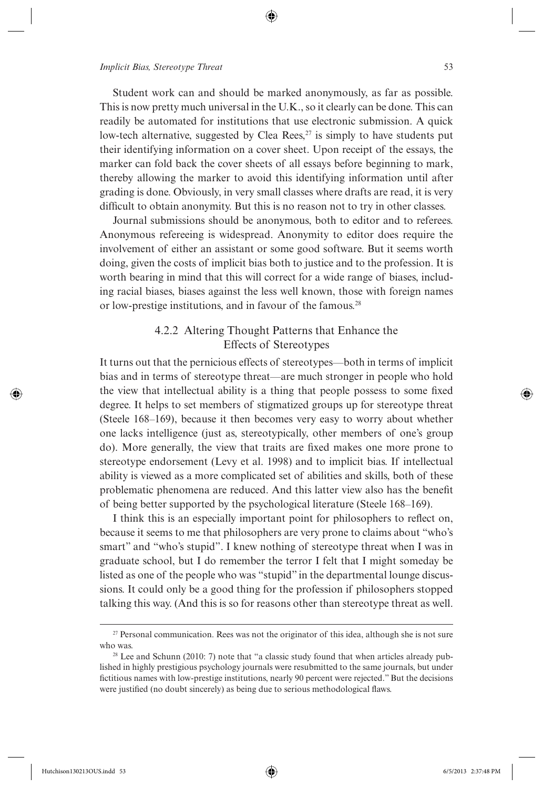Student work can and should be marked anonymously, as far as possible. This is now pretty much universal in the U.K., so it clearly can be done. This can readily be automated for institutions that use electronic submission. A quick low-tech alternative, suggested by Clea Rees, $^{27}$  is simply to have students put their identifying information on a cover sheet. Upon receipt of the essays, the marker can fold back the cover sheets of all essays before beginning to mark, thereby allowing the marker to avoid this identifying information until after grading is done. Obviously, in very small classes where drafts are read, it is very difficult to obtain anonymity. But this is no reason not to try in other classes.

⊕

 Journal submissions should be anonymous, both to editor and to referees. Anonymous refereeing is widespread. Anonymity to editor does require the involvement of either an assistant or some good software. But it seems worth doing, given the costs of implicit bias both to justice and to the profession. It is worth bearing in mind that this will correct for a wide range of biases, including racial biases, biases against the less well known, those with foreign names or low-prestige institutions, and in favour of the famous. 28

## 4.2.2 Altering Thought Patterns that Enhance the Effects of Stereotypes

 It turns out that the pernicious effects of stereotypes—both in terms of implicit bias and in terms of stereotype threat—are much stronger in people who hold the view that intellectual ability is a thing that people possess to some fixed degree. It helps to set members of stigmatized groups up for stereotype threat (Steele 168–169), because it then becomes very easy to worry about whether one lacks intelligence (just as, stereotypically, other members of one's group do). More generally, the view that traits are fixed makes one more prone to stereotype endorsement (Levy et al. 1998) and to implicit bias. If intellectual ability is viewed as a more complicated set of abilities and skills, both of these problematic phenomena are reduced. And this latter view also has the benefit of being better supported by the psychological literature (Steele 168–169).

I think this is an especially important point for philosophers to reflect on, because it seems to me that philosophers are very prone to claims about "who's smart" and "who's stupid". I knew nothing of stereotype threat when I was in graduate school, but I do remember the terror I felt that I might someday be listed as one of the people who was "stupid" in the departmental lounge discussions. It could only be a good thing for the profession if philosophers stopped talking this way. (And this is so for reasons other than stereotype threat as well.

<sup>&</sup>lt;sup>27</sup> Personal communication. Rees was not the originator of this idea, although she is not sure who was.<br><sup>28</sup> Lee and Schunn ( 2010: 7) note that "a classic study found that when articles already pub-

lished in highly prestigious psychology journals were resubmitted to the same journals, but under fictitious names with low-prestige institutions, nearly 90 percent were rejected." But the decisions were justified (no doubt sincerely) as being due to serious methodological flaws.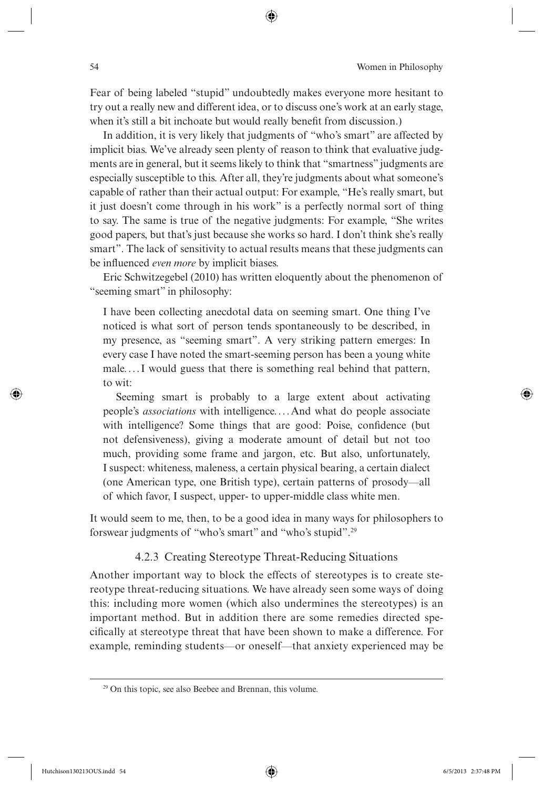Fear of being labeled "stupid" undoubtedly makes everyone more hesitant to try out a really new and different idea, or to discuss one's work at an early stage, when it's still a bit inchoate but would really benefit from discussion.)

⊕

 In addition, it is very likely that judgments of "who's smart" are affected by implicit bias. We've already seen plenty of reason to think that evaluative judgments are in general, but it seems likely to think that "smartness" judgments are especially susceptible to this. After all, they're judgments about what someone's capable of rather than their actual output: For example, "He's really smart, but it just doesn't come through in his work" is a perfectly normal sort of thing to say. The same is true of the negative judgments: For example, "She writes good papers, but that's just because she works so hard. I don't think she's really smart". The lack of sensitivity to actual results means that these judgments can be influenced *even more* by implicit biases.

 Eric Schwitzegebel (2010) has written eloquently about the phenomenon of "seeming smart" in philosophy:

 I have been collecting anecdotal data on seeming smart. One thing I've noticed is what sort of person tends spontaneously to be described, in my presence, as "seeming smart". A very striking pattern emerges: In every case I have noted the smart-seeming person has been a young white male. . . . I would guess that there is something real behind that pattern, to wit:

 Seeming smart is probably to a large extent about activating people's *associations* with intelligence. . . . And what do people associate with intelligence? Some things that are good: Poise, confidence (but not defensiveness), giving a moderate amount of detail but not too much, providing some frame and jargon, etc. But also, unfortunately, I suspect: whiteness, maleness, a certain physical bearing, a certain dialect (one American type, one British type), certain patterns of prosody—all of which favor, I suspect, upper- to upper-middle class white men.

 It would seem to me, then, to be a good idea in many ways for philosophers to forswear judgments of "who's smart" and "who's stupid". 29

4.2.3 Creating Stereotype Threat-Reducing Situations

 Another important way to block the effects of stereotypes is to create stereotype threat-reducing situations. We have already seen some ways of doing this: including more women (which also undermines the stereotypes) is an important method. But in addition there are some remedies directed specifically at stereotype threat that have been shown to make a difference. For example, reminding students—or oneself—that anxiety experienced may be

<sup>29</sup> On this topic, see also Beebee and Brennan, this volume.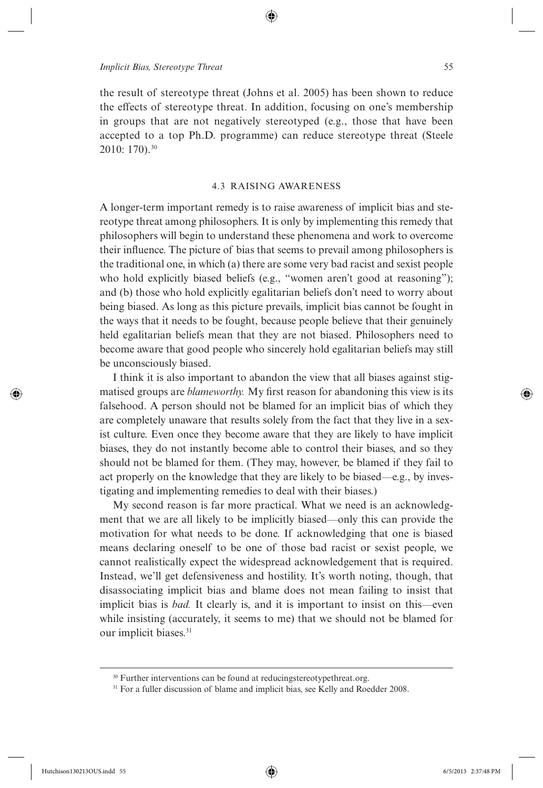the result of stereotype threat ( Johns et al. 2005 ) has been shown to reduce the effects of stereotype threat. In addition, focusing on one's membership in groups that are not negatively stereotyped (e.g., those that have been accepted to a top Ph.D. programme) can reduce stereotype threat ( Steele  $2010: 170.30$ 

⊕

#### 4.3 RAISING AWARENESS

 A longer-term important remedy is to raise awareness of implicit bias and stereotype threat among philosophers. It is only by implementing this remedy that philosophers will begin to understand these phenomena and work to overcome their influence. The picture of bias that seems to prevail among philosophers is the traditional one, in which (a) there are some very bad racist and sexist people who hold explicitly biased beliefs (e.g., "women aren't good at reasoning"); and (b) those who hold explicitly egalitarian beliefs don't need to worry about being biased. As long as this picture prevails, implicit bias cannot be fought in the ways that it needs to be fought, because people believe that their genuinely held egalitarian beliefs mean that they are not biased. Philosophers need to become aware that good people who sincerely hold egalitarian beliefs may still be unconsciously biased.

 I think it is also important to abandon the view that all biases against stigmatised groups are *blameworthy*. My first reason for abandoning this view is its falsehood. A person should not be blamed for an implicit bias of which they are completely unaware that results solely from the fact that they live in a sexist culture. Even once they become aware that they are likely to have implicit biases, they do not instantly become able to control their biases, and so they should not be blamed for them. (They may, however, be blamed if they fail to act properly on the knowledge that they are likely to be biased—e.g., by investigating and implementing remedies to deal with their biases.)

 My second reason is far more practical. What we need is an acknowledgment that we are all likely to be implicitly biased—only this can provide the motivation for what needs to be done. If acknowledging that one is biased means declaring oneself to be one of those bad racist or sexist people, we cannot realistically expect the widespread acknowledgement that is required. Instead, we'll get defensiveness and hostility. It's worth noting, though, that disassociating implicit bias and blame does not mean failing to insist that implicit bias is *bad.* It clearly is, and it is important to insist on this—even while insisting (accurately, it seems to me) that we should not be blamed for our implicit biases.<sup>31</sup>

<sup>&</sup>lt;sup>30</sup> Further interventions can be found at reducingstereotypethreat.org.

<sup>&</sup>lt;sup>31</sup> For a fuller discussion of blame and implicit bias, see Kelly and Roedder 2008.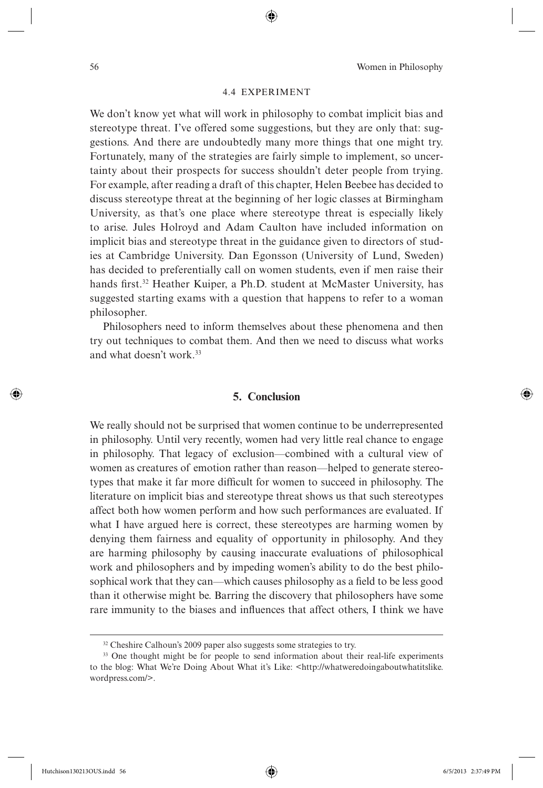## 4.4 EXPERIMENT

⊕

 We don't know yet what will work in philosophy to combat implicit bias and stereotype threat. I've offered some suggestions, but they are only that: suggestions. And there are undoubtedly many more things that one might try. Fortunately, many of the strategies are fairly simple to implement, so uncertainty about their prospects for success shouldn't deter people from trying. For example, after reading a draft of this chapter, Helen Beebee has decided to discuss stereotype threat at the beginning of her logic classes at Birmingham University, as that's one place where stereotype threat is especially likely to arise. Jules Holroyd and Adam Caulton have included information on implicit bias and stereotype threat in the guidance given to directors of studies at Cambridge University. Dan Egonsson (University of Lund, Sweden) has decided to preferentially call on women students, even if men raise their hands first.<sup>32</sup> Heather Kuiper, a Ph.D. student at McMaster University, has suggested starting exams with a question that happens to refer to a woman philosopher.

 Philosophers need to inform themselves about these phenomena and then try out techniques to combat them. And then we need to discuss what works and what doesn't work. 33

## **5. Conclusion**

 We really should not be surprised that women continue to be underrepresented in philosophy. Until very recently, women had very little real chance to engage in philosophy. That legacy of exclusion—combined with a cultural view of women as creatures of emotion rather than reason—helped to generate stereotypes that make it far more difficult for women to succeed in philosophy. The literature on implicit bias and stereotype threat shows us that such stereotypes affect both how women perform and how such performances are evaluated. If what I have argued here is correct, these stereotypes are harming women by denying them fairness and equality of opportunity in philosophy. And they are harming philosophy by causing inaccurate evaluations of philosophical work and philosophers and by impeding women's ability to do the best philosophical work that they can—which causes philosophy as a field to be less good than it otherwise might be. Barring the discovery that philosophers have some rare immunity to the biases and influences that affect others, I think we have

⊕

<sup>&</sup>lt;sup>32</sup> Cheshire Calhoun's 2009 paper also suggests some strategies to try.

<sup>&</sup>lt;sup>33</sup> One thought might be for people to send information about their real-life experiments to the blog: What We're Doing About What it's Like: < http://whatweredoingaboutwhatitslike. wordpress.com/>.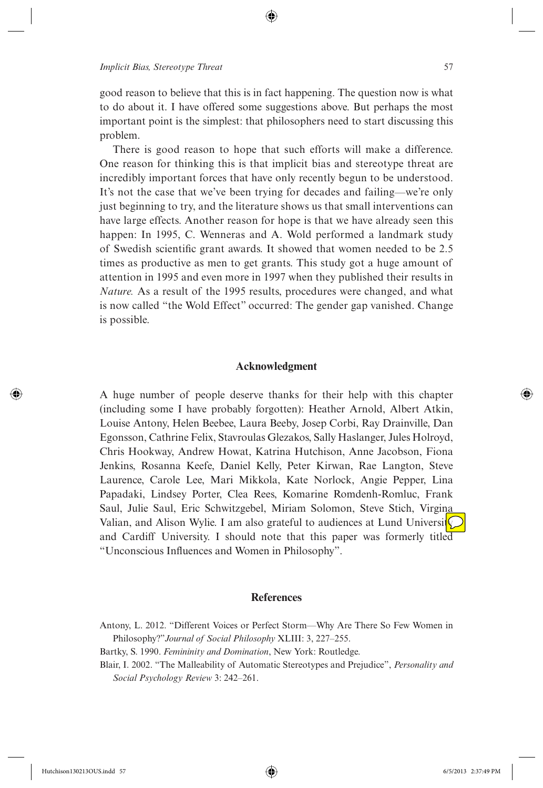good reason to believe that this is in fact happening. The question now is what to do about it. I have offered some suggestions above. But perhaps the most important point is the simplest: that philosophers need to start discussing this problem.

⊕

 There is good reason to hope that such efforts will make a difference. One reason for thinking this is that implicit bias and stereotype threat are incredibly important forces that have only recently begun to be understood. It's not the case that we've been trying for decades and failing—we're only just beginning to try, and the literature shows us that small interventions can have large effects. Another reason for hope is that we have already seen this happen: In 1995, C. Wenneras and A. Wold performed a landmark study of Swedish scientific grant awards. It showed that women needed to be 2.5 times as productive as men to get grants. This study got a huge amount of attention in 1995 and even more in 1997 when they published their results in *Nature.* As a result of the 1995 results, procedures were changed, and what is now called "the Wold Effect" occurred: The gender gap vanished. Change is possible.

## **Acknowledgment**

 A huge number of people deserve thanks for their help with this chapter (including some I have probably forgotten): Heather Arnold, Albert Atkin, Louise Antony, Helen Beebee, Laura Beeby, Josep Corbi, Ray Drainville, Dan Egonsson, Cathrine Felix, Stavroulas Glezakos, Sally Haslanger, Jules Holroyd, Chris Hookway, Andrew Howat, Katrina Hutchison, Anne Jacobson, Fiona Jenkins, Rosanna Keefe, Daniel Kelly, Peter Kirwan, Rae Langton, Steve Laurence, Carole Lee, Mari Mikkola, Kate Norlock, Angie Pepper, Lina Papadaki, Lindsey Porter, Clea Rees, Komarine Romdenh-Romluc, Frank Saul, Julie Saul, Eric Schwitzgebel, Miriam Solomon, Steve Stich, Virgina Valian, and Alison Wylie. I am also grateful to audiences at Lund University and Cardiff University. I should note that this paper was formerly titled "Unconscious Influences and Women in Philosophy".

#### **References**

 Antony , L. 2012 . "Different Voices or Perfect Storm—Why Are There So Few Women in Philosophy?" *Journal of Social Philosophy XLIII: 3, 227-255*.

Bartky, S. 1990. *Femininity and Domination*, New York: Routledge.

 Blair , I. 2002 . "The Malleability of Automatic Stereotypes and Prejudice" , *Personality and Social Psychology Review 3: 242–261.*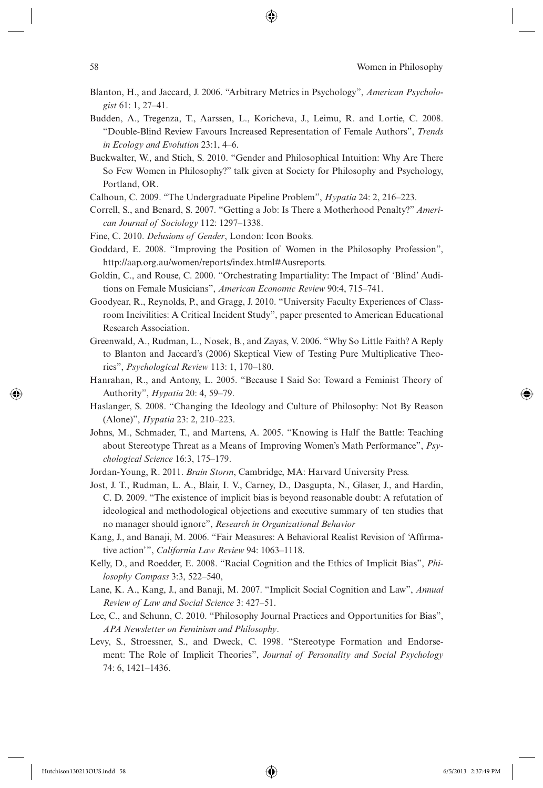Blanton, H., and Jaccard, J. 2006. "Arbitrary Metrics in Psychology", American Psycholo*gist* 61: 1, 27-41.

⊕

- Budden, A., Tregenza, T., Aarssen, L., Koricheva, J., Leimu, R. and Lortie, C. 2008. "Double-Blind Review Favours Increased Representation of Female Authors", Trends in Ecology and Evolution 23:1, 4-6.
- Buckwalter, W., and Stich, S. 2010. "Gender and Philosophical Intuition: Why Are There So Few Women in Philosophy?" talk given at Society for Philosophy and Psychology, Portland, OR.
- Calhoun, C. 2009. "The Undergraduate Pipeline Problem", *Hypatia* 24: 2, 216–223.
- Correll, S., and Benard, S. 2007. "Getting a Job: Is There a Motherhood Penalty?" *American Journal of Sociology* 112 : 1297–1338 .
- Fine, C. 2010. *Delusions of Gender*, London: Icon Books.
- Goddard, E. 2008. "Improving the Position of Women in the Philosophy Profession", http://aap.org.au/women/reports/index.html#Ausreports.
- Goldin, C., and Rouse, C. 2000. "Orchestrating Impartiality: The Impact of 'Blind' Auditions on Female Musicians", American Economic Review 90:4, 715-741.
- Goodyear , R. , Reynolds , P., and Gragg , J. 2010 . "University Faculty Experiences of Classroom Incivilities: A Critical Incident Study", paper presented to American Educational Research Association.
- Greenwald, A., Rudman, L., Nosek, B., and Zayas, V. 2006. "Why So Little Faith? A Reply to Blanton and Jaccard's (2006) Skeptical View of Testing Pure Multiplicative Theories", *Psychological Review* 113: 1, 170–180.
- Hanrahan, R., and Antony, L. 2005. "Because I Said So: Toward a Feminist Theory of Authority", *Hypatia* 20: 4, 59–79.
- Haslanger, S. 2008. "Changing the Ideology and Culture of Philosophy: Not By Reason (Alone)", *Hypatia* 23: 2, 210–223.
- Johns, M., Schmader, T., and Martens, A. 2005. "Knowing is Half the Battle: Teaching about Stereotype Threat as a Means of Improving Women's Math Performance", Psy*chological Science* 16:3, 175-179.
- Jordan-Young, R. 2011. *Brain Storm*, Cambridge, MA: Harvard University Press.
- Jost, J. T., Rudman, L. A., Blair, I. V., Carney, D., Dasgupta, N., Glaser, J., and Hardin, C. D. 2009 . " The existence of implicit bias is beyond reasonable doubt: A refutation of ideological and methodological objections and executive summary of ten studies that no manager should ignore ", *Research in Organizational Behavior*
- Kang, J., and Banaji, M. 2006. "Fair Measures: A Behavioral Realist Revision of 'Affirmative action'", *California Law Review* 94: 1063-1118.
- Kelly, D., and Roedder, E. 2008. "Racial Cognition and the Ethics of Implicit Bias", *Philosophy Compass* 3:3, 522–540,
- Lane, K. A., Kang, J., and Banaji, M. 2007. "Implicit Social Cognition and Law", *Annual Review of Law and Social Science* 3: 427–51.
- Lee, C., and Schunn, C. 2010. "Philosophy Journal Practices and Opportunities for Bias", *APA Newsletter on Feminism and Philosophy* .
- Levy, S., Stroessner, S., and Dweck, C. 1998. "Stereotype Formation and Endorsement: The Role of Implicit Theories", *Journal of Personality and Social Psychology* 74: 6, 1421-1436.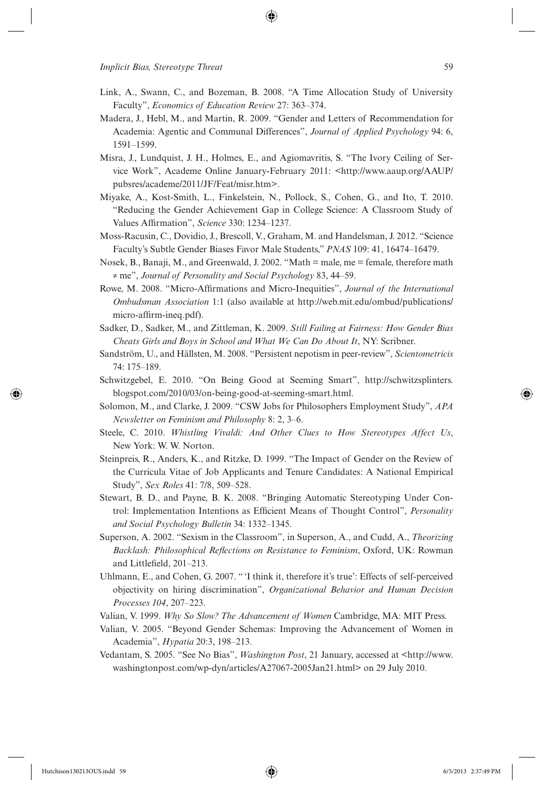Link, A., Swann, C., and Bozeman, B. 2008. "A Time Allocation Study of University Faculty", *Economics of Education Review* 27: 363-374.

⊕

- Madera, J., Hebl, M., and Martin, R. 2009. "Gender and Letters of Recommendation for Academia: Agentic and Communal Differences", *Journal of Applied Psychology* 94: 6, 1591–1599 .
- Misra, J., Lundquist, J. H., Holmes, E., and Agiomavritis, S. "The Ivory Ceiling of Service Work", Academe Online January-February 2011: <http://www.aaup.org/AAUP/ pubsres/academe/2011/JF/Feat/misr.htm >.
- Miyake, A., Kost-Smith, L., Finkelstein, N., Pollock, S., Cohen, G., and Ito, T. 2010. "Reducing the Gender Achievement Gap in College Science: A Classroom Study of Values Affirmation", *Science* 330: 1234–1237.
- Moss-Racusin, C., Dovidio, J., Brescoll, V., Graham, M. and Handelsman, J. 2012. "Science Faculty's Subtle Gender Biases Favor Male Students ," *PNAS* 109 : 41 , 16474–16479 .
- Nosek, B., Banaji, M., and Greenwald, J. 2002. "Math = male, me = female, therefore math ≠ me", *Journal of Personality and Social Psychology* 83 , 44–59 .
- Rowe, M. 2008. "Micro-Affirmations and Micro-Inequities", *Journal of the International Ombudsman Association* 1:1 (also available at http://web.mit.edu/ombud/publications/ micro-affirm-ineq.pdf).
- Sadker, D., Sadker, M., and Zittleman, K. 2009. Still Failing at Fairness: How Gender Bias *Cheats Girls and Boys in School and What We Can Do About It* , NY : Scribner.
- Sandström, U., and Hällsten, M. 2008. "Persistent nepotism in peer-review", Scientometricis 74: 175-189.
- Schwitzgebel, E. 2010. "On Being Good at Seeming Smart", http://schwitzsplinters. blogspot.com/2010/03/on-being-good-at-seeming-smart.html .
- Solomon, M., and Clarke, J. 2009. "CSW Jobs for Philosophers Employment Study", *APA Newsletter on Feminism and Philosophy* 8: 2, 3–6.
- Steele, C. 2010. *Whistling Vivaldi: And Other Clues to How Stereotypes Affect Us*, New York: W. W. Norton.
- Steinpreis, R., Anders, K., and Ritzke, D. 1999. "The Impact of Gender on the Review of the Curricula Vitae of Job Applicants and Tenure Candidates: A National Empirical Study", *Sex Roles* 41: 7/8, 509-528.
- Stewart, B. D., and Payne, B. K. 2008. "Bringing Automatic Stereotyping Under Control: Implementation Intentions as Efficient Means of Thought Control", *Personality* and Social Psychology Bulletin 34: 1332–1345.
- Superson, A. 2002. "Sexism in the Classroom", in Superson, A., and Cudd, A., *Theorizing Backlash: Philosophical Reflections on Resistance to Feminism*, Oxford, UK: Rowman and Littlefield, 201-213.
- Uhlmann, E., and Cohen, G. 2007. "I think it, therefore it's true': Effects of self-perceived objectivity on hiring discrimination", Organizational Behavior and Human Decision  *Processes 104* , 207–223 .
- Valian, V. 1999. *Why So Slow? The Advancement of Women* Cambridge, MA: MIT Press.
- Valian, V. 2005. "Beyond Gender Schemas: Improving the Advancement of Women in Academia", *Hypatia* 20:3, 198-213.
- Vedantam, S. 2005. "See No Bias", *Washington Post*, 21 January, accessed at <http://www. washingtonpost.com/wp-dyn/articles/A27067-2005Jan21.html> on 29 July 2010.